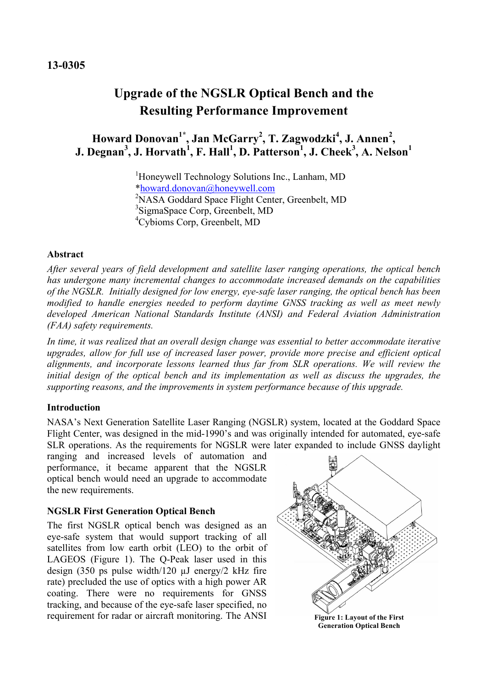### **13-0305**

# **Upgrade of the NGSLR Optical Bench and the Resulting Performance Improvement**

# **Howard Donovan1\* , Jan McGarry<sup>2</sup> , T. Zagwodzki<sup>4</sup> , J. Annen<sup>2</sup> , J. Degnan<sup>3</sup> , J. Horvath<sup>1</sup> , F. Hall<sup>1</sup> , D. Patterson<sup>1</sup> , J. Cheek<sup>3</sup> , A. Nelson<sup>1</sup>**

<sup>1</sup>Honeywell Technology Solutions Inc., Lanham, MD \*howard.donovan@honeywell.com <sup>2</sup>NASA Goddard Space Flight Center, Greenbelt, MD 3 SigmaSpace Corp, Greenbelt, MD 4 Cybioms Corp, Greenbelt, MD

#### **Abstract**

*After several years of field development and satellite laser ranging operations, the optical bench has undergone many incremental changes to accommodate increased demands on the capabilities of the NGSLR. Initially designed for low energy, eye-safe laser ranging, the optical bench has been modified to handle energies needed to perform daytime GNSS tracking as well as meet newly developed American National Standards Institute (ANSI) and Federal Aviation Administration (FAA) safety requirements.*

*In time, it was realized that an overall design change was essential to better accommodate iterative upgrades, allow for full use of increased laser power, provide more precise and efficient optical alignments, and incorporate lessons learned thus far from SLR operations. We will review the initial design of the optical bench and its implementation as well as discuss the upgrades, the supporting reasons, and the improvements in system performance because of this upgrade.* 

#### **Introduction**

NASA's Next Generation Satellite Laser Ranging (NGSLR) system, located at the Goddard Space Flight Center, was designed in the mid-1990's and was originally intended for automated, eye-safe SLR operations. As the requirements for NGSLR were later expanded to include GNSS daylight

ranging and increased levels of automation and performance, it became apparent that the NGSLR optical bench would need an upgrade to accommodate the new requirements.

### **NGSLR First Generation Optical Bench**

The first NGSLR optical bench was designed as an eye-safe system that would support tracking of all satellites from low earth orbit (LEO) to the orbit of LAGEOS (Figure 1). The Q-Peak laser used in this design (350 ps pulse width/120  $\mu$ J energy/2 kHz fire rate) precluded the use of optics with a high power AR coating. There were no requirements for GNSS tracking, and because of the eye-safe laser specified, no requirement for radar or aircraft monitoring. The ANSI **Figure 1: Layout of the First** 



**Generation Optical Bench**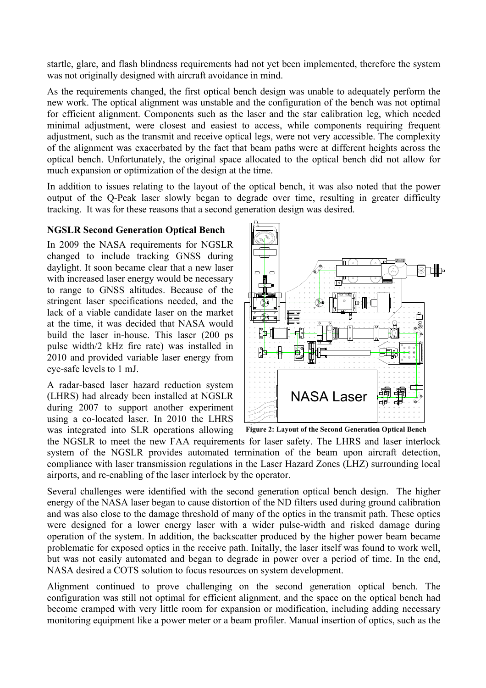startle, glare, and flash blindness requirements had not yet been implemented, therefore the system was not originally designed with aircraft avoidance in mind.

As the requirements changed, the first optical bench design was unable to adequately perform the new work. The optical alignment was unstable and the configuration of the bench was not optimal for efficient alignment. Components such as the laser and the star calibration leg, which needed minimal adjustment, were closest and easiest to access, while components requiring frequent adjustment, such as the transmit and receive optical legs, were not very accessible. The complexity of the alignment was exacerbated by the fact that beam paths were at different heights across the optical bench. Unfortunately, the original space allocated to the optical bench did not allow for much expansion or optimization of the design at the time.

In addition to issues relating to the layout of the optical bench, it was also noted that the power output of the Q-Peak laser slowly began to degrade over time, resulting in greater difficulty tracking. It was for these reasons that a second generation design was desired.

### **NGSLR Second Generation Optical Bench**

In 2009 the NASA requirements for NGSLR changed to include tracking GNSS during daylight. It soon became clear that a new laser with increased laser energy would be necessary to range to GNSS altitudes. Because of the stringent laser specifications needed, and the lack of a viable candidate laser on the market at the time, it was decided that NASA would build the laser in-house. This laser (200 ps pulse width/2 kHz fire rate) was installed in 2010 and provided variable laser energy from eye-safe levels to 1 mJ.

A radar-based laser hazard reduction system (LHRS) had already been installed at NGSLR during 2007 to support another experiment using a co-located laser. In 2010 the LHRS was integrated into SLR operations allowing



the NGSLR to meet the new FAA requirements for laser safety. The LHRS and laser interlock system of the NGSLR provides automated termination of the beam upon aircraft detection, compliance with laser transmission regulations in the Laser Hazard Zones (LHZ) surrounding local airports, and re-enabling of the laser interlock by the operator.

Several challenges were identified with the second generation optical bench design. The higher energy of the NASA laser began to cause distortion of the ND filters used during ground calibration and was also close to the damage threshold of many of the optics in the transmit path. These optics were designed for a lower energy laser with a wider pulse-width and risked damage during operation of the system. In addition, the backscatter produced by the higher power beam became problematic for exposed optics in the receive path. Initally, the laser itself was found to work well, but was not easily automated and began to degrade in power over a period of time. In the end, NASA desired a COTS solution to focus resources on system development.

Alignment continued to prove challenging on the second generation optical bench. The configuration was still not optimal for efficient alignment, and the space on the optical bench had become cramped with very little room for expansion or modification, including adding necessary monitoring equipment like a power meter or a beam profiler. Manual insertion of optics, such as the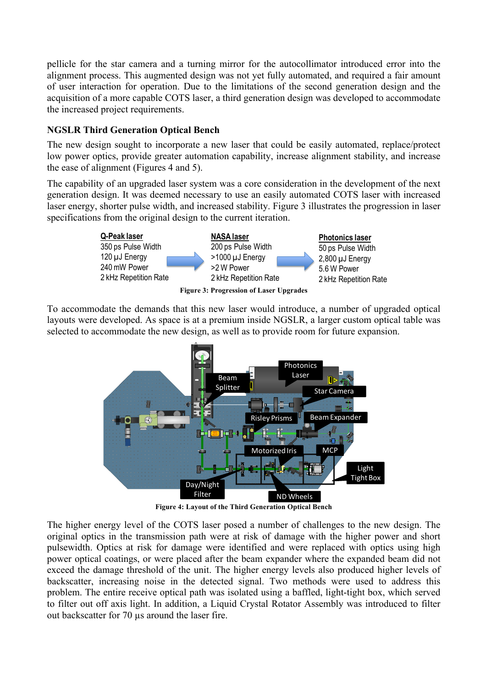pellicle for the star camera and a turning mirror for the autocollimator introduced error into the alignment process. This augmented design was not yet fully automated, and required a fair amount of user interaction for operation. Due to the limitations of the second generation design and the acquisition of a more capable COTS laser, a third generation design was developed to accommodate the increased project requirements.

## **NGSLR Third Generation Optical Bench**

The new design sought to incorporate a new laser that could be easily automated, replace/protect low power optics, provide greater automation capability, increase alignment stability, and increase the ease of alignment (Figures 4 and 5).

The capability of an upgraded laser system was a core consideration in the development of the next generation design. It was deemed necessary to use an easily automated COTS laser with increased laser energy, shorter pulse width, and increased stability. Figure 3 illustrates the progression in laser specifications from the original design to the current iteration.



To accommodate the demands that this new laser would introduce, a number of upgraded optical layouts were developed. As space is at a premium inside NGSLR, a larger custom optical table was selected to accommodate the new design, as well as to provide room for future expansion.



The higher energy level of the COTS laser posed a number of challenges to the new design. The original optics in the transmission path were at risk of damage with the higher power and short pulsewidth. Optics at risk for damage were identified and were replaced with optics using high power optical coatings, or were placed after the beam expander where the expanded beam did not exceed the damage threshold of the unit. The higher energy levels also produced higher levels of backscatter, increasing noise in the detected signal. Two methods were used to address this problem. The entire receive optical path was isolated using a baffled, light-tight box, which served to filter out off axis light. In addition, a Liquid Crystal Rotator Assembly was introduced to filter out backscatter for 70 µs around the laser fire.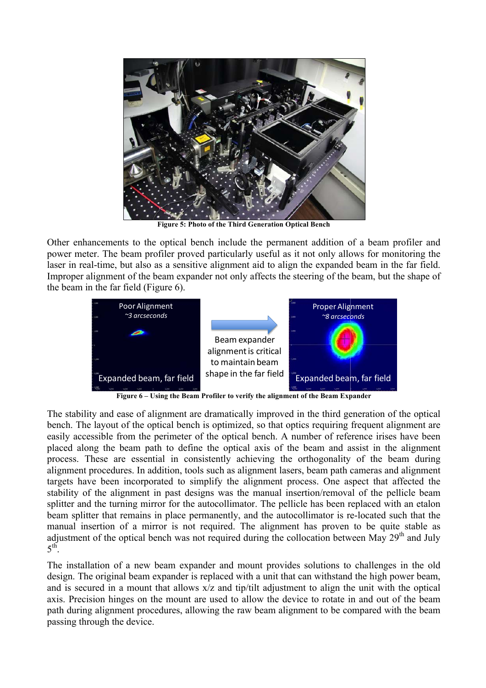

**Figure 5: Photo of the Third Generation Optical Bench**

Other enhancements to the optical bench include the permanent addition of a beam profiler and power meter. The beam profiler proved particularly useful as it not only allows for monitoring the laser in real-time, but also as a sensitive alignment aid to align the expanded beam in the far field. Improper alignment of the beam expander not only affects the steering of the beam, but the shape of the beam in the far field (Figure 6).



The stability and ease of alignment are dramatically improved in the third generation of the optical bench. The layout of the optical bench is optimized, so that optics requiring frequent alignment are easily accessible from the perimeter of the optical bench. A number of reference irises have been placed along the beam path to define the optical axis of the beam and assist in the alignment process. These are essential in consistently achieving the orthogonality of the beam during alignment procedures. In addition, tools such as alignment lasers, beam path cameras and alignment targets have been incorporated to simplify the alignment process. One aspect that affected the stability of the alignment in past designs was the manual insertion/removal of the pellicle beam splitter and the turning mirror for the autocollimator. The pellicle has been replaced with an etalon beam splitter that remains in place permanently, and the autocollimator is re-located such that the manual insertion of a mirror is not required. The alignment has proven to be quite stable as adjustment of the optical bench was not required during the collocation between May 29<sup>th</sup> and July  $5<sup>th</sup>$ .

The installation of a new beam expander and mount provides solutions to challenges in the old design. The original beam expander is replaced with a unit that can withstand the high power beam, and is secured in a mount that allows x/z and tip/tilt adjustment to align the unit with the optical axis. Precision hinges on the mount are used to allow the device to rotate in and out of the beam path during alignment procedures, allowing the raw beam alignment to be compared with the beam passing through the device.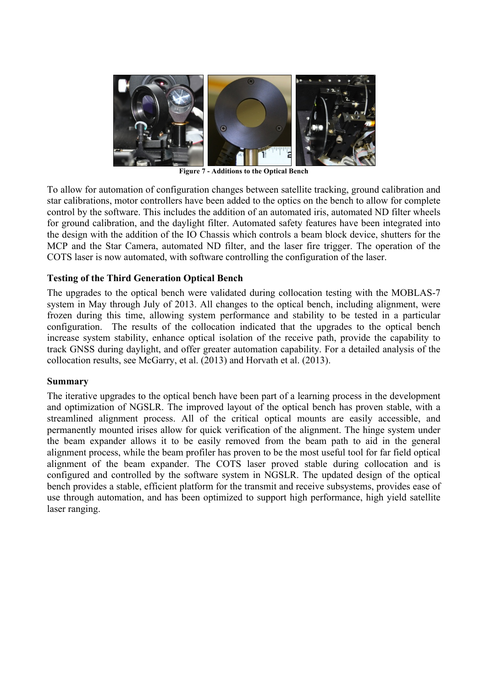

**Figure 7 - Additions to the Optical Bench**

To allow for automation of configuration changes between satellite tracking, ground calibration and star calibrations, motor controllers have been added to the optics on the bench to allow for complete control by the software. This includes the addition of an automated iris, automated ND filter wheels for ground calibration, and the daylight filter. Automated safety features have been integrated into the design with the addition of the IO Chassis which controls a beam block device, shutters for the MCP and the Star Camera, automated ND filter, and the laser fire trigger. The operation of the COTS laser is now automated, with software controlling the configuration of the laser.

# **Testing of the Third Generation Optical Bench**

The upgrades to the optical bench were validated during collocation testing with the MOBLAS-7 system in May through July of 2013. All changes to the optical bench, including alignment, were frozen during this time, allowing system performance and stability to be tested in a particular configuration. The results of the collocation indicated that the upgrades to the optical bench increase system stability, enhance optical isolation of the receive path, provide the capability to track GNSS during daylight, and offer greater automation capability. For a detailed analysis of the collocation results, see McGarry, et al. (2013) and Horvath et al. (2013).

### **Summary**

The iterative upgrades to the optical bench have been part of a learning process in the development and optimization of NGSLR. The improved layout of the optical bench has proven stable, with a streamlined alignment process. All of the critical optical mounts are easily accessible, and permanently mounted irises allow for quick verification of the alignment. The hinge system under the beam expander allows it to be easily removed from the beam path to aid in the general alignment process, while the beam profiler has proven to be the most useful tool for far field optical alignment of the beam expander. The COTS laser proved stable during collocation and is configured and controlled by the software system in NGSLR. The updated design of the optical bench provides a stable, efficient platform for the transmit and receive subsystems, provides ease of use through automation, and has been optimized to support high performance, high yield satellite laser ranging.